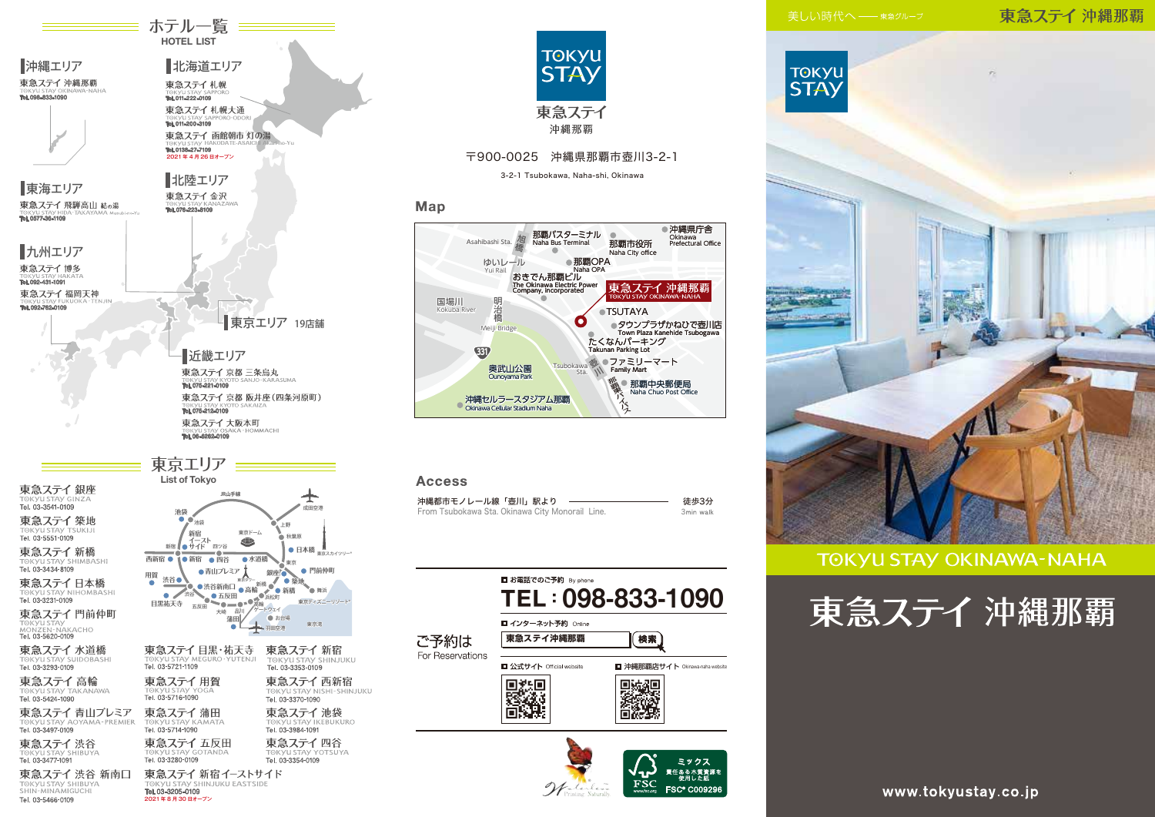### 東急ステイ 沖縄那覇



## **TOKYU STAY OKINAWA-NAHA**





2021 年 8 月 30 日オープン

IK VII STAV SHINJIJKIJ FASTSIDE

Tel. 03-3205-0109

TOKYU STAY SHIBUYA

Tel. 03-5466-0109

北海道エリア

Tel. 011-222-0109

東急ステイ札幌

**≡ ホテル一覧 ====** HOTEL LIST

沖縄エリア

東急ステイ 沖縄那覇

Tel. 098-833-1090





### 〒900-0025 沖縄県那覇市壺川3-2-1

3-2-1 Tsubokawa, Naha-shi, Okinawa

### Map



### **Access**

| 沖縄都市モノレール線「壺川」駅より                               | 徒歩3分      |
|-------------------------------------------------|-----------|
| From Tsubokawa Sta. Okinawa City Monorail Line. | 3min walk |

|                  | ■ お電話でのご予約 By phone                   | TEL: 098-833-1090                                                  |  |  |
|------------------|---------------------------------------|--------------------------------------------------------------------|--|--|
| ご予約は             | ■ インターネット予約 Online<br>東急ステイ沖縄那覇<br>横索 |                                                                    |  |  |
| For Reservations | ■ 公式サイト Official website              | □ 沖縄那覇店サイト Okinawa-naha website                                    |  |  |
|                  |                                       |                                                                    |  |  |
|                  |                                       | ミックス<br>責任ある木質資源を<br>- 使用した紙<br><b>FSC® C009296</b><br>www.fsc.org |  |  |